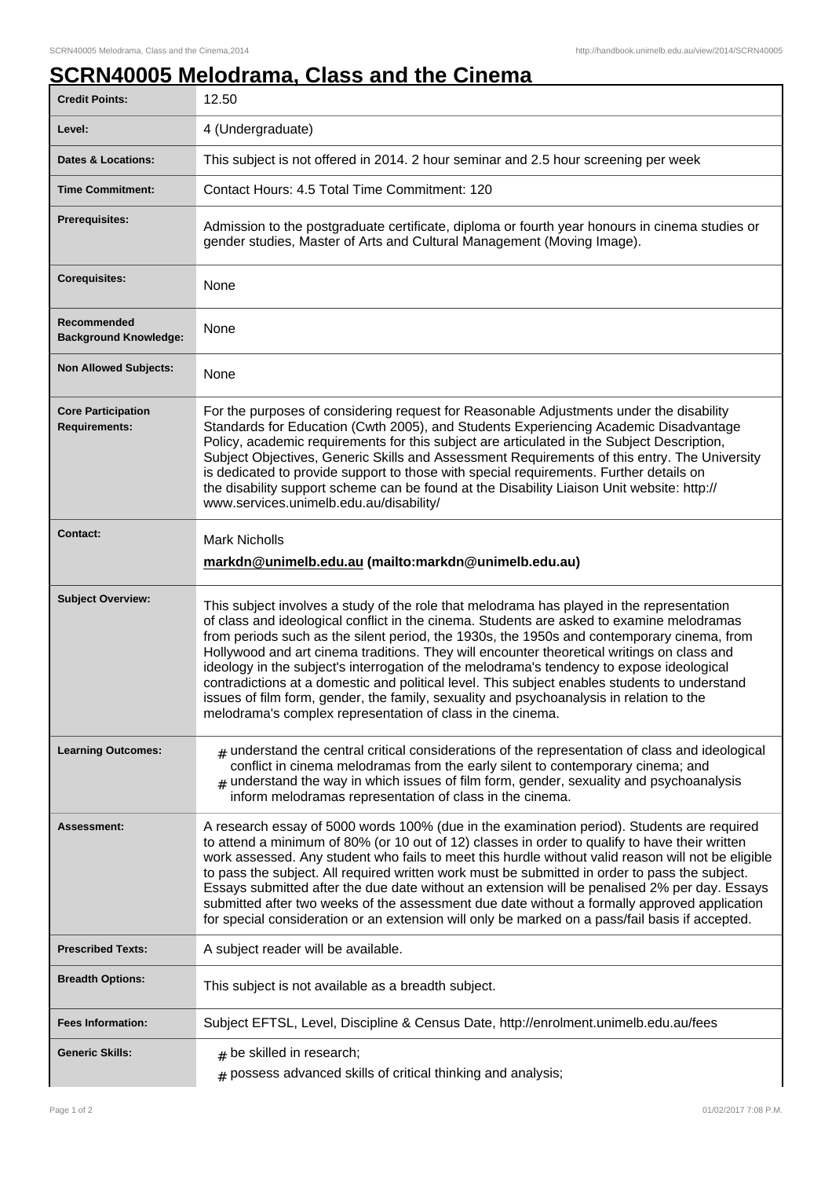## **SCRN40005 Melodrama, Class and the Cinema**

| <b>Credit Points:</b>                             | 12.50                                                                                                                                                                                                                                                                                                                                                                                                                                                                                                                                                                                                                                                                                                                                      |
|---------------------------------------------------|--------------------------------------------------------------------------------------------------------------------------------------------------------------------------------------------------------------------------------------------------------------------------------------------------------------------------------------------------------------------------------------------------------------------------------------------------------------------------------------------------------------------------------------------------------------------------------------------------------------------------------------------------------------------------------------------------------------------------------------------|
| Level:                                            | 4 (Undergraduate)                                                                                                                                                                                                                                                                                                                                                                                                                                                                                                                                                                                                                                                                                                                          |
| <b>Dates &amp; Locations:</b>                     | This subject is not offered in 2014. 2 hour seminar and 2.5 hour screening per week                                                                                                                                                                                                                                                                                                                                                                                                                                                                                                                                                                                                                                                        |
| <b>Time Commitment:</b>                           | Contact Hours: 4.5 Total Time Commitment: 120                                                                                                                                                                                                                                                                                                                                                                                                                                                                                                                                                                                                                                                                                              |
| <b>Prerequisites:</b>                             | Admission to the postgraduate certificate, diploma or fourth year honours in cinema studies or<br>gender studies, Master of Arts and Cultural Management (Moving Image).                                                                                                                                                                                                                                                                                                                                                                                                                                                                                                                                                                   |
| <b>Corequisites:</b>                              | None                                                                                                                                                                                                                                                                                                                                                                                                                                                                                                                                                                                                                                                                                                                                       |
| Recommended<br><b>Background Knowledge:</b>       | None                                                                                                                                                                                                                                                                                                                                                                                                                                                                                                                                                                                                                                                                                                                                       |
| <b>Non Allowed Subjects:</b>                      | None                                                                                                                                                                                                                                                                                                                                                                                                                                                                                                                                                                                                                                                                                                                                       |
| <b>Core Participation</b><br><b>Requirements:</b> | For the purposes of considering request for Reasonable Adjustments under the disability<br>Standards for Education (Cwth 2005), and Students Experiencing Academic Disadvantage<br>Policy, academic requirements for this subject are articulated in the Subject Description,<br>Subject Objectives, Generic Skills and Assessment Requirements of this entry. The University<br>is dedicated to provide support to those with special requirements. Further details on<br>the disability support scheme can be found at the Disability Liaison Unit website: http://<br>www.services.unimelb.edu.au/disability/                                                                                                                           |
| <b>Contact:</b>                                   | <b>Mark Nicholls</b><br>markdn@unimelb.edu.au (mailto:markdn@unimelb.edu.au)                                                                                                                                                                                                                                                                                                                                                                                                                                                                                                                                                                                                                                                               |
| <b>Subject Overview:</b>                          | This subject involves a study of the role that melodrama has played in the representation<br>of class and ideological conflict in the cinema. Students are asked to examine melodramas<br>from periods such as the silent period, the 1930s, the 1950s and contemporary cinema, from<br>Hollywood and art cinema traditions. They will encounter theoretical writings on class and<br>ideology in the subject's interrogation of the melodrama's tendency to expose ideological<br>contradictions at a domestic and political level. This subject enables students to understand<br>issues of film form, gender, the family, sexuality and psychoanalysis in relation to the<br>melodrama's complex representation of class in the cinema. |
| <b>Learning Outcomes:</b>                         | $_{\text{H}}$ understand the central critical considerations of the representation of class and ideological<br>conflict in cinema melodramas from the early silent to contemporary cinema; and<br>$_{\#}$ understand the way in which issues of film form, gender, sexuality and psychoanalysis<br>inform melodramas representation of class in the cinema.                                                                                                                                                                                                                                                                                                                                                                                |
| Assessment:                                       | A research essay of 5000 words 100% (due in the examination period). Students are required<br>to attend a minimum of 80% (or 10 out of 12) classes in order to qualify to have their written<br>work assessed. Any student who fails to meet this hurdle without valid reason will not be eligible<br>to pass the subject. All required written work must be submitted in order to pass the subject.<br>Essays submitted after the due date without an extension will be penalised 2% per day. Essays<br>submitted after two weeks of the assessment due date without a formally approved application<br>for special consideration or an extension will only be marked on a pass/fail basis if accepted.                                   |
| <b>Prescribed Texts:</b>                          | A subject reader will be available.                                                                                                                                                                                                                                                                                                                                                                                                                                                                                                                                                                                                                                                                                                        |
| <b>Breadth Options:</b>                           | This subject is not available as a breadth subject.                                                                                                                                                                                                                                                                                                                                                                                                                                                                                                                                                                                                                                                                                        |
| <b>Fees Information:</b>                          | Subject EFTSL, Level, Discipline & Census Date, http://enrolment.unimelb.edu.au/fees                                                                                                                                                                                                                                                                                                                                                                                                                                                                                                                                                                                                                                                       |
| <b>Generic Skills:</b>                            | $#$ be skilled in research;<br>$#$ possess advanced skills of critical thinking and analysis;                                                                                                                                                                                                                                                                                                                                                                                                                                                                                                                                                                                                                                              |